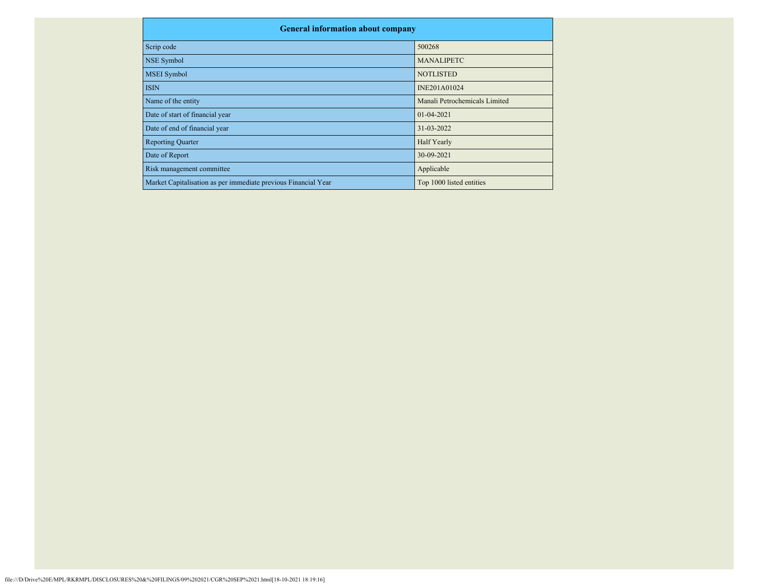| <b>General information about company</b>                       |                               |
|----------------------------------------------------------------|-------------------------------|
| Scrip code                                                     | 500268                        |
| <b>NSE Symbol</b>                                              | <b>MANALIPETC</b>             |
| <b>MSEI</b> Symbol                                             | <b>NOTLISTED</b>              |
| <b>ISIN</b>                                                    | INE201A01024                  |
| Name of the entity                                             | Manali Petrochemicals Limited |
| Date of start of financial year                                | $01 - 04 - 2021$              |
| Date of end of financial year                                  | 31-03-2022                    |
| <b>Reporting Quarter</b>                                       | Half Yearly                   |
| Date of Report                                                 | 30-09-2021                    |
| Risk management committee                                      | Applicable                    |
| Market Capitalisation as per immediate previous Financial Year | Top 1000 listed entities      |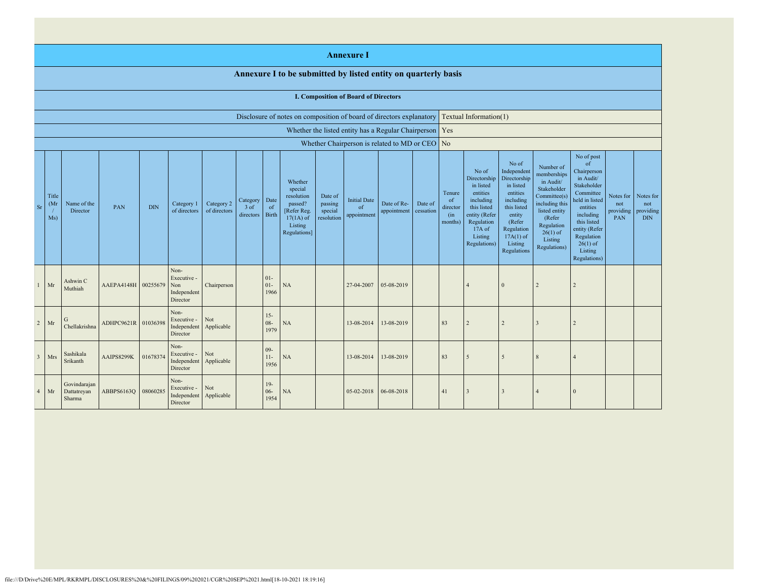|                |                      |                                             |                     |            |                                                       |                            |                               |                            |                                                                                                      |                                             | <b>Annexure I</b>                        |                                                           |                      |                                            |                                                                                                                                                |                                                                                                                                                                      |                                                                                                                                                                          |                                                                                                                                                                                                                       |                                      |                                             |
|----------------|----------------------|---------------------------------------------|---------------------|------------|-------------------------------------------------------|----------------------------|-------------------------------|----------------------------|------------------------------------------------------------------------------------------------------|---------------------------------------------|------------------------------------------|-----------------------------------------------------------|----------------------|--------------------------------------------|------------------------------------------------------------------------------------------------------------------------------------------------|----------------------------------------------------------------------------------------------------------------------------------------------------------------------|--------------------------------------------------------------------------------------------------------------------------------------------------------------------------|-----------------------------------------------------------------------------------------------------------------------------------------------------------------------------------------------------------------------|--------------------------------------|---------------------------------------------|
|                |                      |                                             |                     |            |                                                       |                            |                               |                            | Annexure I to be submitted by listed entity on quarterly basis                                       |                                             |                                          |                                                           |                      |                                            |                                                                                                                                                |                                                                                                                                                                      |                                                                                                                                                                          |                                                                                                                                                                                                                       |                                      |                                             |
|                |                      | <b>I. Composition of Board of Directors</b> |                     |            |                                                       |                            |                               |                            |                                                                                                      |                                             |                                          |                                                           |                      |                                            |                                                                                                                                                |                                                                                                                                                                      |                                                                                                                                                                          |                                                                                                                                                                                                                       |                                      |                                             |
|                |                      |                                             |                     |            |                                                       |                            |                               |                            | Disclosure of notes on composition of board of directors explanatory                                 |                                             |                                          |                                                           |                      |                                            | Textual Information(1)                                                                                                                         |                                                                                                                                                                      |                                                                                                                                                                          |                                                                                                                                                                                                                       |                                      |                                             |
|                |                      |                                             |                     |            |                                                       |                            |                               |                            |                                                                                                      |                                             |                                          | Whether the listed entity has a Regular Chairperson   Yes |                      |                                            |                                                                                                                                                |                                                                                                                                                                      |                                                                                                                                                                          |                                                                                                                                                                                                                       |                                      |                                             |
|                |                      |                                             |                     |            |                                                       |                            |                               |                            |                                                                                                      |                                             |                                          | Whether Chairperson is related to MD or CEO               |                      | N <sub>o</sub>                             |                                                                                                                                                |                                                                                                                                                                      |                                                                                                                                                                          |                                                                                                                                                                                                                       |                                      |                                             |
| Sr             | Title<br>(Mr)<br>Ms) | Name of the<br>Director                     | PAN                 | <b>DIN</b> | Category 1<br>of directors                            | Category 2<br>of directors | Category<br>3 of<br>directors | Date<br>of<br><b>Birth</b> | Whether<br>special<br>resolution<br>passed?<br>[Refer Reg.<br>$17(1A)$ of<br>Listing<br>Regulations] | Date of<br>passing<br>special<br>resolution | <b>Initial Date</b><br>of<br>appointment | Date of Re-<br>appointment                                | Date of<br>cessation | Tenure<br>of<br>director<br>(in<br>months) | No of<br>Directorship<br>in listed<br>entities<br>including<br>this listed<br>entity (Refer<br>Regulation<br>17A of<br>Listing<br>Regulations) | No of<br>Independent<br>Directorship<br>in listed<br>entities<br>including<br>this listed<br>entity<br>(Refer<br>Regulation<br>$17A(1)$ of<br>Listing<br>Regulations | Number of<br>memberships<br>in Audit/<br>Stakeholder<br>Committee(s)<br>including this<br>listed entity<br>(Refer<br>Regulation<br>$26(1)$ of<br>Listing<br>Regulations) | No of post<br><sub>of</sub><br>Chairperson<br>in Audit/<br>Stakeholder<br>Committee<br>held in listed<br>entities<br>including<br>this listed<br>entity (Refer<br>Regulation<br>$26(1)$ of<br>Listing<br>Regulations) | Notes for<br>not<br>providing<br>PAN | Notes for<br>not<br>providing<br><b>DIN</b> |
| $\mathbf{1}$   | Mr                   | Ashwin C<br>Muthiah                         | AAEPA4148H 00255679 |            | Non-<br>Executive -<br>Non<br>Independent<br>Director | Chairperson                |                               | $01-$<br>$01 -$<br>1966    | NA                                                                                                   |                                             | 27-04-2007                               | 05-08-2019                                                |                      |                                            | $\overline{4}$                                                                                                                                 | $\Omega$                                                                                                                                                             | 2                                                                                                                                                                        | $\overline{2}$                                                                                                                                                                                                        |                                      |                                             |
| $\overline{2}$ | Mr                   | G<br>Chellakrishna                          | ADHPC9621R 01036398 |            | Non-<br>Executive -<br>Independent<br>Director        | Not<br>Applicable          |                               | $15 -$<br>$08 -$<br>1979   | NA                                                                                                   |                                             | 13-08-2014                               | 13-08-2019                                                |                      | 83                                         | $\overline{2}$                                                                                                                                 | $\overline{2}$                                                                                                                                                       | $\mathcal{R}$                                                                                                                                                            | 2                                                                                                                                                                                                                     |                                      |                                             |
| $\mathbf{3}$   | Mrs                  | Sashikala<br>Srikanth                       | AAIPS8299K          | 01678374   | Non-<br>Executive -<br>Independent<br>Director        | Not<br>Applicable          |                               | $09 -$<br>$11-$<br>1956    | NA                                                                                                   |                                             | 13-08-2014                               | 13-08-2019                                                |                      | 83                                         | 5                                                                                                                                              | 5                                                                                                                                                                    | $\mathbf{R}$                                                                                                                                                             | $\Delta$                                                                                                                                                                                                              |                                      |                                             |
| $\overline{4}$ | Mr                   | Govindarajan<br>Dattatreyan<br>Sharma       | ABBPS6163Q          | 08060285   | Non-<br>Executive -<br>Independent<br>Director        | Not<br>Applicable          |                               | $19-$<br>$06 -$<br>1954    | NA                                                                                                   |                                             | 05-02-2018                               | 06-08-2018                                                |                      | 41                                         | 3                                                                                                                                              | $\overline{3}$                                                                                                                                                       |                                                                                                                                                                          | $\Omega$                                                                                                                                                                                                              |                                      |                                             |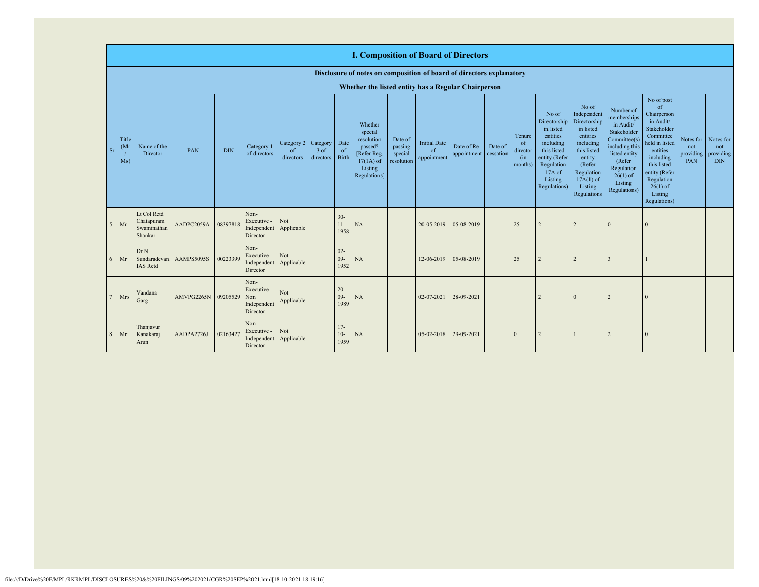|           | <b>I. Composition of Board of Directors</b> |                                                     |            |            |                                                       |                               |                               |                         |                                                                                                      |                                             |                                          |                            |                      |                                                       |                                                                                                                                                |                                                                                                                                                                      |                                                                                                                                                                           |                                                                                                                                                                                                            |                                      |                                             |
|-----------|---------------------------------------------|-----------------------------------------------------|------------|------------|-------------------------------------------------------|-------------------------------|-------------------------------|-------------------------|------------------------------------------------------------------------------------------------------|---------------------------------------------|------------------------------------------|----------------------------|----------------------|-------------------------------------------------------|------------------------------------------------------------------------------------------------------------------------------------------------|----------------------------------------------------------------------------------------------------------------------------------------------------------------------|---------------------------------------------------------------------------------------------------------------------------------------------------------------------------|------------------------------------------------------------------------------------------------------------------------------------------------------------------------------------------------------------|--------------------------------------|---------------------------------------------|
|           |                                             |                                                     |            |            |                                                       |                               |                               |                         | Disclosure of notes on composition of board of directors explanatory                                 |                                             |                                          |                            |                      |                                                       |                                                                                                                                                |                                                                                                                                                                      |                                                                                                                                                                           |                                                                                                                                                                                                            |                                      |                                             |
|           |                                             |                                                     |            |            |                                                       |                               |                               |                         | Whether the listed entity has a Regular Chairperson                                                  |                                             |                                          |                            |                      |                                                       |                                                                                                                                                |                                                                                                                                                                      |                                                                                                                                                                           |                                                                                                                                                                                                            |                                      |                                             |
| <b>Sr</b> | Title<br>(M <sub>I</sub> )<br>Ms)           | Name of the<br>Director                             | PAN        | <b>DIN</b> | Category 1<br>of directors                            | Category 2<br>of<br>directors | Category<br>3 of<br>directors | Date<br>of<br>Birth     | Whether<br>special<br>resolution<br>passed?<br>[Refer Reg.<br>$17(1A)$ of<br>Listing<br>Regulations] | Date of<br>passing<br>special<br>resolution | <b>Initial Date</b><br>of<br>appointment | Date of Re-<br>appointment | Date of<br>cessation | Tenure<br><sub>of</sub><br>director<br>(in<br>months) | No of<br>Directorship<br>in listed<br>entities<br>including<br>this listed<br>entity (Refer<br>Regulation<br>17A of<br>Listing<br>Regulations) | No of<br>Independent<br>Directorship<br>in listed<br>entities<br>including<br>this listed<br>entity<br>(Refer<br>Regulation<br>$17A(1)$ of<br>Listing<br>Regulations | Number of<br>memberships<br>in Audit/<br>Stakeholder<br>Committee(s)<br>including this<br>listed entity<br>(Refer)<br>Regulation<br>$26(1)$ of<br>Listing<br>Regulations) | No of post<br>of<br>Chairperson<br>in Audit/<br>Stakeholder<br>Committee<br>held in listed<br>entities<br>including<br>this listed<br>entity (Refer<br>Regulation<br>$26(1)$ of<br>Listing<br>Regulations) | Notes for<br>not<br>providing<br>PAN | Notes for<br>not<br>providing<br><b>DIN</b> |
|           | $5$ Mr                                      | Lt Col Retd<br>Chatapuram<br>Swaminathan<br>Shankar | AADPC2059A | 08397818   | Non-<br>Executive -<br>Independent<br>Director        | Not<br>Applicable             |                               | $30 -$<br>$11-$<br>1958 | NA                                                                                                   |                                             | 20-05-2019                               | 05-08-2019                 |                      | 25                                                    | $\overline{2}$                                                                                                                                 | $\overline{2}$                                                                                                                                                       | $\Omega$                                                                                                                                                                  | $\Omega$                                                                                                                                                                                                   |                                      |                                             |
| 6         | Mr                                          | Dr N<br>Sundaradevan<br><b>IAS</b> Retd             | AAMPS5095S | 00223399   | Non-<br>Executive -<br>Independent<br>Director        | Not<br>Applicable             |                               | $02 -$<br>$09-$<br>1952 | NA                                                                                                   |                                             | 12-06-2019                               | 05-08-2019                 |                      | 25                                                    | $\overline{2}$                                                                                                                                 | $\overline{c}$                                                                                                                                                       | 3                                                                                                                                                                         |                                                                                                                                                                                                            |                                      |                                             |
| 7         | Mrs                                         | Vandana<br>Garg                                     | AMVPG2265N | 09205529   | Non-<br>Executive -<br>Non<br>Independent<br>Director | Not<br>Applicable             |                               | $20 -$<br>$09-$<br>1989 | NA                                                                                                   |                                             | 02-07-2021                               | 28-09-2021                 |                      |                                                       | $\overline{2}$                                                                                                                                 | $\theta$                                                                                                                                                             | 2                                                                                                                                                                         | $\Omega$                                                                                                                                                                                                   |                                      |                                             |
| 8         | Mr                                          | Thanjavur<br>Kanakaraj<br>Arun                      | AADPA2726J | 02163427   | Non-<br>Executive -<br>Independent<br>Director        | Not<br>Applicable             |                               | $17-$<br>$10-$<br>1959  | NA                                                                                                   |                                             | 05-02-2018                               | 29-09-2021                 |                      | $\Omega$                                              | $\overline{2}$                                                                                                                                 |                                                                                                                                                                      | 2                                                                                                                                                                         | $\Omega$                                                                                                                                                                                                   |                                      |                                             |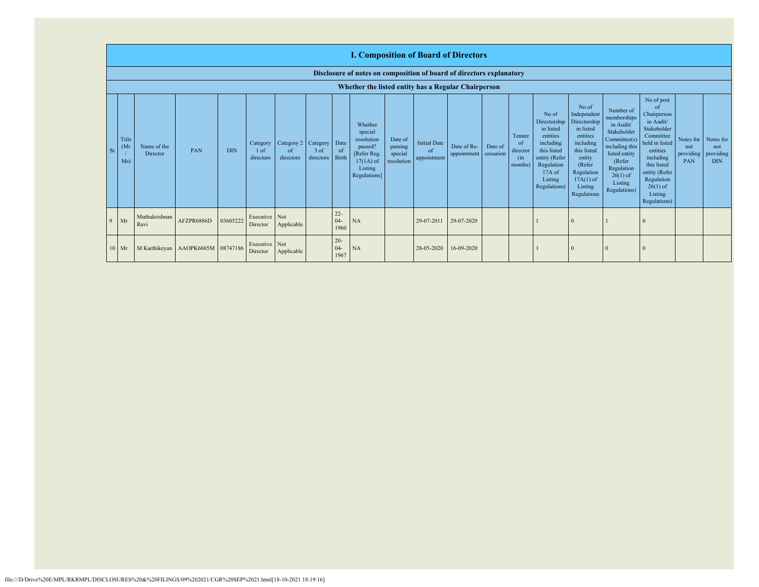|               | <b>I. Composition of Board of Directors</b>                          |                                                     |                                   |            |                               |                                          |                     |                          |                                                                                                      |                                             |                                          |                                      |         |                                                        |                                                                                                                                                  |                                                                                                                                                                      |                                                                                                                                                                          |                                                                                                                                                                                                                       |                                        |                                             |
|---------------|----------------------------------------------------------------------|-----------------------------------------------------|-----------------------------------|------------|-------------------------------|------------------------------------------|---------------------|--------------------------|------------------------------------------------------------------------------------------------------|---------------------------------------------|------------------------------------------|--------------------------------------|---------|--------------------------------------------------------|--------------------------------------------------------------------------------------------------------------------------------------------------|----------------------------------------------------------------------------------------------------------------------------------------------------------------------|--------------------------------------------------------------------------------------------------------------------------------------------------------------------------|-----------------------------------------------------------------------------------------------------------------------------------------------------------------------------------------------------------------------|----------------------------------------|---------------------------------------------|
|               | Disclosure of notes on composition of board of directors explanatory |                                                     |                                   |            |                               |                                          |                     |                          |                                                                                                      |                                             |                                          |                                      |         |                                                        |                                                                                                                                                  |                                                                                                                                                                      |                                                                                                                                                                          |                                                                                                                                                                                                                       |                                        |                                             |
|               |                                                                      | Whether the listed entity has a Regular Chairperson |                                   |            |                               |                                          |                     |                          |                                                                                                      |                                             |                                          |                                      |         |                                                        |                                                                                                                                                  |                                                                                                                                                                      |                                                                                                                                                                          |                                                                                                                                                                                                                       |                                        |                                             |
| <sub>Sr</sub> | Title<br>(M <sub>1</sub> )<br>Ms)                                    | Name of the<br>Director                             | PAN                               | <b>DIN</b> | Category<br>1 of<br>directors | Category 2   Category<br>of<br>directors | $3$ of<br>directors | Date<br>of<br>Birth      | Whether<br>special<br>resolution<br>passed?<br>[Refer Reg.<br>$17(1A)$ of<br>Listing<br>Regulations] | Date of<br>passing<br>special<br>resolution | <b>Initial Date</b><br>of<br>appointment | Date of Re-<br>appointment cessation | Date of | Tenure<br><sub>of</sub><br>director<br>(in)<br>months) | No of<br>Directorship<br>in listed<br>entities<br>including<br>this listed<br>entity (Refer<br>Regulation<br>$17A$ of<br>Listing<br>Regulations) | No of<br>Independent<br>Directorship<br>in listed<br>entities<br>including<br>this listed<br>entity<br>(Refer<br>Regulation<br>$17A(1)$ of<br>Listing<br>Regulations | Number of<br>memberships<br>in Audit/<br>Stakeholder<br>Committee(s)<br>including this<br>listed entity<br>(Refer<br>Regulation<br>$26(1)$ of<br>Listing<br>Regulations) | No of post<br><sub>of</sub><br>Chairperson<br>in Audit/<br>Stakeholder<br>Committee<br>held in listed<br>entities<br>including<br>this listed<br>entity (Refer<br>Regulation<br>$26(1)$ of<br>Listing<br>Regulations) | Notes for  <br>not<br>providing<br>PAN | Notes for<br>not<br>providing<br><b>DIN</b> |
| Q             | Mr                                                                   | Muthukrishnan<br>Ravi                               | AFZPR6886D                        | 03605222   | Executive Not<br>Director     | Applicable                               |                     | $22 -$<br>$04 -$<br>1960 | <b>NA</b>                                                                                            |                                             | 29-07-2011                               | 29-07-2020                           |         |                                                        |                                                                                                                                                  | $\Omega$                                                                                                                                                             |                                                                                                                                                                          |                                                                                                                                                                                                                       |                                        |                                             |
|               | $10$ Mr                                                              |                                                     | M Karthikeyan AAOPK6605M 08747186 |            | Executive Not<br>Director     | Applicable                               |                     | $20 -$<br>$04 -$<br>1967 | <b>NA</b>                                                                                            |                                             | 28-05-2020                               | 16-09-2020                           |         |                                                        |                                                                                                                                                  | $\Omega$                                                                                                                                                             |                                                                                                                                                                          |                                                                                                                                                                                                                       |                                        |                                             |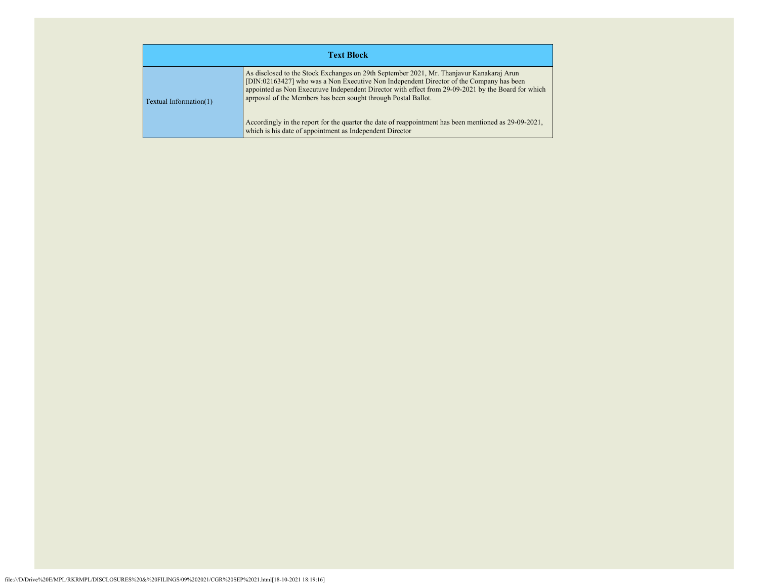|                               | <b>Text Block</b>                                                                                                                                                                                                                                                                                                                                                                                                                                                                                                                |
|-------------------------------|----------------------------------------------------------------------------------------------------------------------------------------------------------------------------------------------------------------------------------------------------------------------------------------------------------------------------------------------------------------------------------------------------------------------------------------------------------------------------------------------------------------------------------|
| <b>Textual Information(1)</b> | As disclosed to the Stock Exchanges on 29th September 2021, Mr. Thanjavur Kanakaraj Arun<br>[DIN:02163427] who was a Non Executive Non Independent Director of the Company has been<br>appointed as Non Executuve Independent Director with effect from 29-09-2021 by the Board for which<br>aprpoval of the Members has been sought through Postal Ballot.<br>Accordingly in the report for the quarter the date of reappointment has been mentioned as 29-09-2021,<br>which is his date of appointment as Independent Director |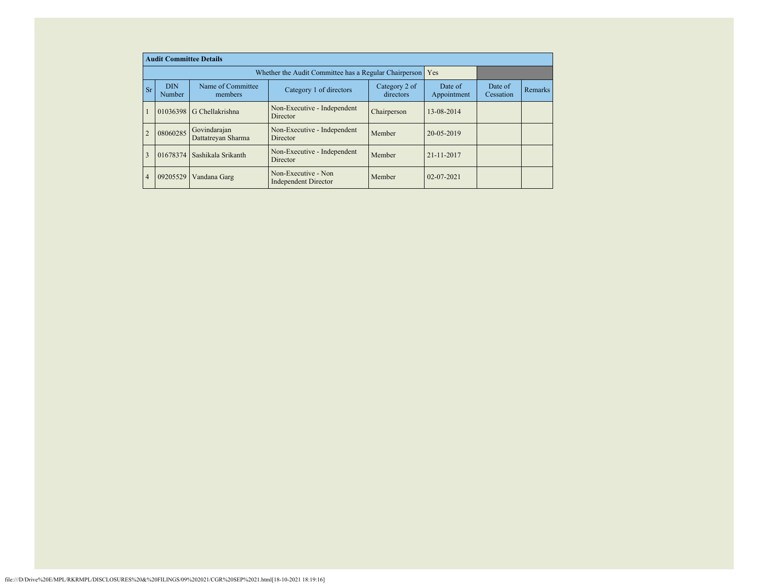|                | <b>Audit Committee Details</b> |                                    |                                                             |                            |                        |                      |         |
|----------------|--------------------------------|------------------------------------|-------------------------------------------------------------|----------------------------|------------------------|----------------------|---------|
|                |                                |                                    | Whether the Audit Committee has a Regular Chairperson   Yes |                            |                        |                      |         |
| Sr             | <b>DIN</b><br>Number           | Name of Committee<br>members       | Category 1 of directors                                     | Category 2 of<br>directors | Date of<br>Appointment | Date of<br>Cessation | Remarks |
|                |                                | 01036398 G Chellakrishna           | Non-Executive - Independent<br>Director                     | Chairperson                | 13-08-2014             |                      |         |
| $\overline{2}$ | 08060285                       | Govindarajan<br>Dattatreyan Sharma | Non-Executive - Independent<br>Director                     | Member                     | 20-05-2019             |                      |         |
| 3              |                                | 01678374 Sashikala Srikanth        | Non-Executive - Independent<br>Director                     | Member                     | 21-11-2017             |                      |         |
| $\overline{4}$ | 09205529                       | Vandana Garg                       | Non-Executive - Non<br><b>Independent Director</b>          | Member                     | $02 - 07 - 2021$       |                      |         |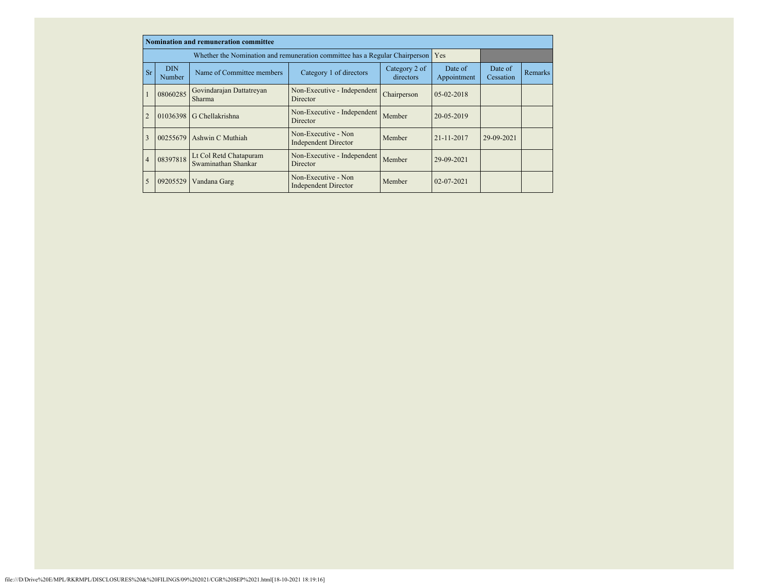|                |                      | <b>Nomination and remuneration committee</b>                                    |                                                    |                            |                        |                      |         |
|----------------|----------------------|---------------------------------------------------------------------------------|----------------------------------------------------|----------------------------|------------------------|----------------------|---------|
|                |                      | Whether the Nomination and remuneration committee has a Regular Chairperson Yes |                                                    |                            |                        |                      |         |
| <b>Sr</b>      | <b>DIN</b><br>Number | Name of Committee members                                                       | Category 1 of directors                            | Category 2 of<br>directors | Date of<br>Appointment | Date of<br>Cessation | Remarks |
|                | 08060285             | Govindarajan Dattatreyan<br>Sharma                                              | Non-Executive - Independent<br>Director            | Chairperson                | $05-02-2018$           |                      |         |
| $\overline{2}$ |                      | 01036398 G Chellakrishna                                                        | Non-Executive - Independent<br>Director            | Member                     | 20-05-2019             |                      |         |
| 3              | 00255679             | Ashwin C Muthiah                                                                | Non-Executive - Non<br>Independent Director        | Member                     | 21-11-2017             | 29-09-2021           |         |
| $\overline{4}$ | 08397818             | Lt Col Retd Chatapuram<br>Swaminathan Shankar                                   | Non-Executive - Independent<br>Director            | Member                     | 29-09-2021             |                      |         |
| 5              | 09205529             | Vandana Garg                                                                    | Non-Executive - Non<br><b>Independent Director</b> | Member                     | 02-07-2021             |                      |         |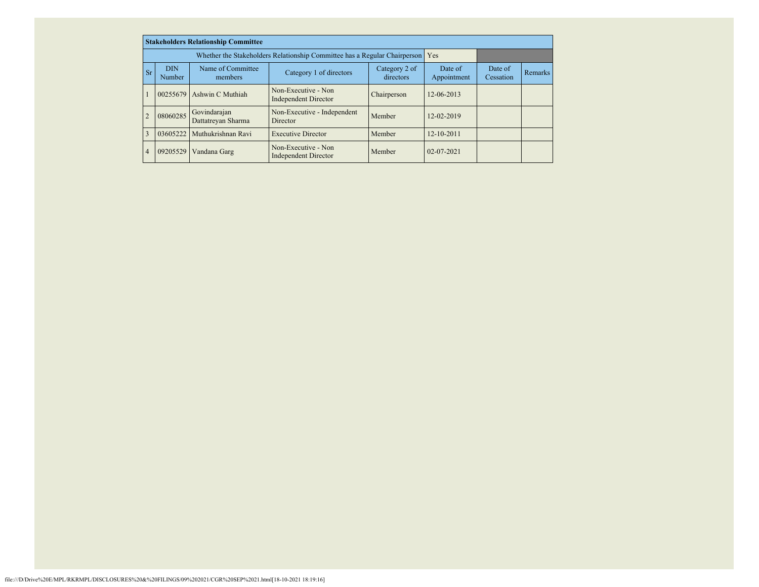|           |                      | <b>Stakeholders Relationship Committee</b> |                                                                               |                        |                      |                |  |
|-----------|----------------------|--------------------------------------------|-------------------------------------------------------------------------------|------------------------|----------------------|----------------|--|
|           |                      |                                            | Whether the Stakeholders Relationship Committee has a Regular Chairperson Yes |                        |                      |                |  |
| <b>Sr</b> | <b>DIN</b><br>Number | Name of Committee<br>members               | Category 2 of<br>directors                                                    | Date of<br>Appointment | Date of<br>Cessation | <b>Remarks</b> |  |
|           | 00255679             | Ashwin C Muthiah                           | Non-Executive - Non<br>Independent Director                                   | Chairperson            | 12-06-2013           |                |  |
|           | 08060285             | Govindarajan<br>Dattatreyan Sharma         | Non-Executive - Independent<br>Director                                       | Member                 | 12-02-2019           |                |  |
| 3         | 03605222             | Muthukrishnan Ravi                         | <b>Executive Director</b>                                                     | Member                 | $12 - 10 - 2011$     |                |  |
| 4         | 09205529             | Vandana Garg                               | Non-Executive - Non<br><b>Independent Director</b>                            | Member                 | $02 - 07 - 2021$     |                |  |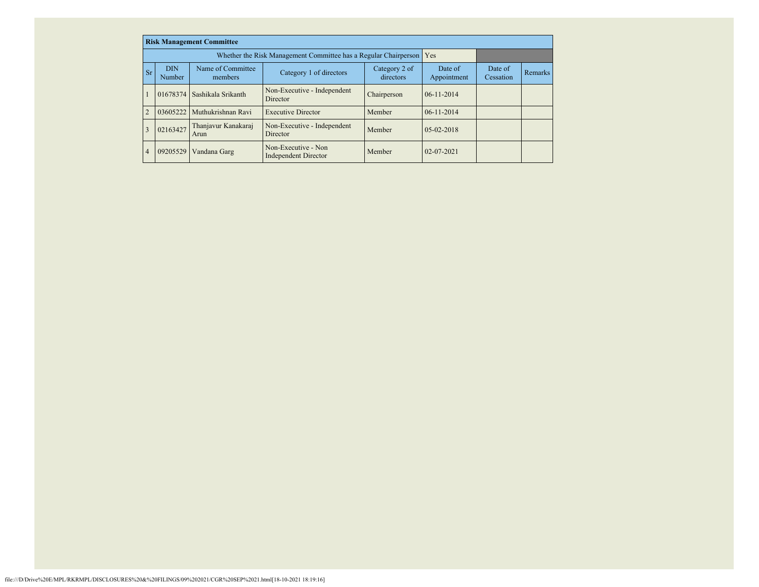|                |                      | <b>Risk Management Committee</b> |                                                                     |                            |                        |                      |                |
|----------------|----------------------|----------------------------------|---------------------------------------------------------------------|----------------------------|------------------------|----------------------|----------------|
|                |                      |                                  | Whether the Risk Management Committee has a Regular Chairperson Yes |                            |                        |                      |                |
| Sr             | <b>DIN</b><br>Number | Name of Committee<br>members     | Category 1 of directors                                             | Category 2 of<br>directors | Date of<br>Appointment | Date of<br>Cessation | <b>Remarks</b> |
|                |                      | 01678374 Sashikala Srikanth      | Non-Executive - Independent<br><b>Director</b>                      | Chairperson                | $06 - 11 - 2014$       |                      |                |
| $\overline{2}$ | 03605222             | Muthukrishnan Ravi               | <b>Executive Director</b>                                           | Member                     | $06 - 11 - 2014$       |                      |                |
| 3              | 02163427             | Thanjavur Kanakaraj<br>Arun      | Non-Executive - Independent<br>Director                             | Member                     | $05-02-2018$           |                      |                |
| $\overline{4}$ | 09205529             | Vandana Garg                     | Non-Executive - Non<br><b>Independent Director</b>                  | Member                     | $02 - 07 - 2021$       |                      |                |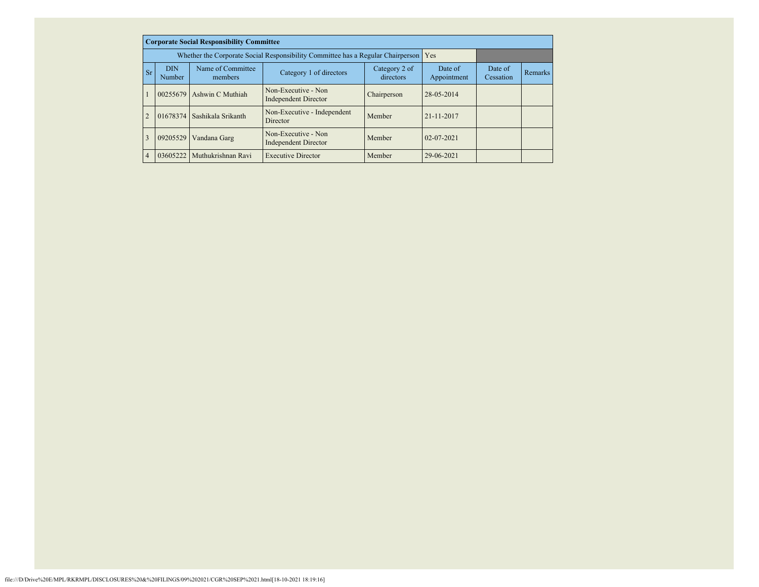|                | <b>Corporate Social Responsibility Committee</b> |                                                                                     |                                                    |                        |                      |         |  |  |  |  |  |
|----------------|--------------------------------------------------|-------------------------------------------------------------------------------------|----------------------------------------------------|------------------------|----------------------|---------|--|--|--|--|--|
|                |                                                  | Whether the Corporate Social Responsibility Committee has a Regular Chairperson Yes |                                                    |                        |                      |         |  |  |  |  |  |
| Sr             | <b>DIN</b><br>Number                             | Name of Committee<br>members                                                        | Category 2 of<br>directors                         | Date of<br>Appointment | Date of<br>Cessation | Remarks |  |  |  |  |  |
|                | 00255679                                         | Ashwin C Muthiah                                                                    | Non-Executive - Non<br><b>Independent Director</b> | Chairperson            | 28-05-2014           |         |  |  |  |  |  |
|                | 01678374                                         | Sashikala Srikanth                                                                  | Non-Executive - Independent<br>Director            | Member                 | 21-11-2017           |         |  |  |  |  |  |
| 3              | 09205529                                         | Vandana Garg                                                                        | Non-Executive - Non<br><b>Independent Director</b> | Member                 | $02 - 07 - 2021$     |         |  |  |  |  |  |
| $\overline{4}$ |                                                  | 03605222   Muthukrishnan Ravi                                                       | <b>Executive Director</b>                          | Member                 | 29-06-2021           |         |  |  |  |  |  |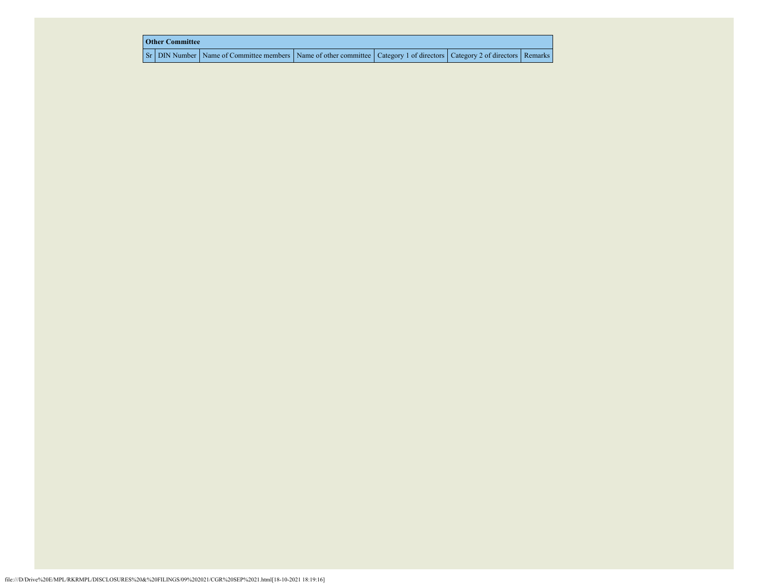| <b>Other Committee</b> |                                                                                                                         |  |  |  |  |  |  |  |  |  |  |
|------------------------|-------------------------------------------------------------------------------------------------------------------------|--|--|--|--|--|--|--|--|--|--|
|                        | Sr DIN Number Name of Committee members Name of other committee Category 1 of directors Category 2 of directors Remarks |  |  |  |  |  |  |  |  |  |  |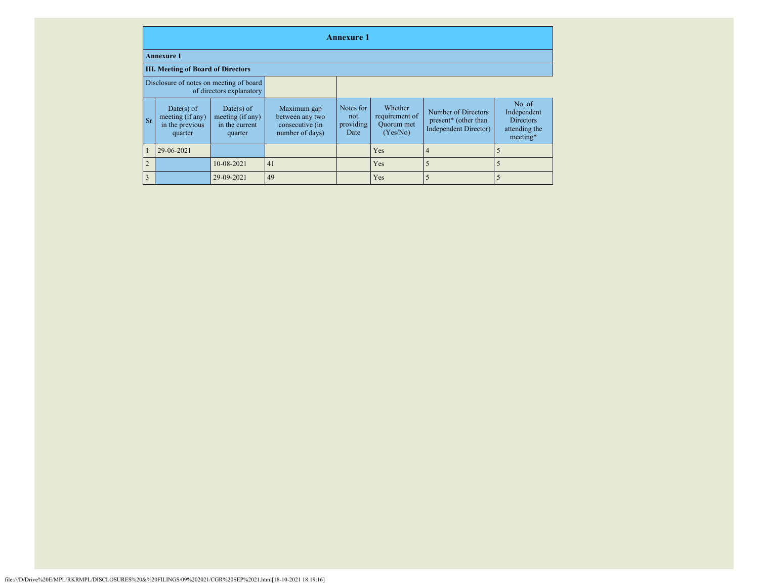|                | <b>Annexure 1</b>                                              |                                                             |                                                                      |                                       |                                                     |                                                                             |                                                                        |  |  |  |  |
|----------------|----------------------------------------------------------------|-------------------------------------------------------------|----------------------------------------------------------------------|---------------------------------------|-----------------------------------------------------|-----------------------------------------------------------------------------|------------------------------------------------------------------------|--|--|--|--|
|                | <b>Annexure 1</b>                                              |                                                             |                                                                      |                                       |                                                     |                                                                             |                                                                        |  |  |  |  |
|                | <b>III. Meeting of Board of Directors</b>                      |                                                             |                                                                      |                                       |                                                     |                                                                             |                                                                        |  |  |  |  |
|                | Disclosure of notes on meeting of board                        | of directors explanatory                                    |                                                                      |                                       |                                                     |                                                                             |                                                                        |  |  |  |  |
| <b>Sr</b>      | $Date(s)$ of<br>meeting (if any)<br>in the previous<br>quarter | Date(s) of<br>meeting (if any)<br>in the current<br>quarter | Maximum gap<br>between any two<br>consecutive (in<br>number of days) | Notes for<br>not<br>providing<br>Date | Whether<br>requirement of<br>Quorum met<br>(Yes/No) | Number of Directors<br>present* (other than<br><b>Independent Director)</b> | No. of<br>Independent<br><b>Directors</b><br>attending the<br>meeting* |  |  |  |  |
| $\mathbf{1}$   | 29-06-2021                                                     |                                                             |                                                                      |                                       | Yes                                                 | $\overline{4}$                                                              | 5                                                                      |  |  |  |  |
| $\overline{2}$ |                                                                | 10-08-2021                                                  | 41                                                                   |                                       | Yes                                                 | 5                                                                           | 5                                                                      |  |  |  |  |
| 3              |                                                                | 29-09-2021                                                  | 49                                                                   |                                       | Yes                                                 | 5                                                                           | 5                                                                      |  |  |  |  |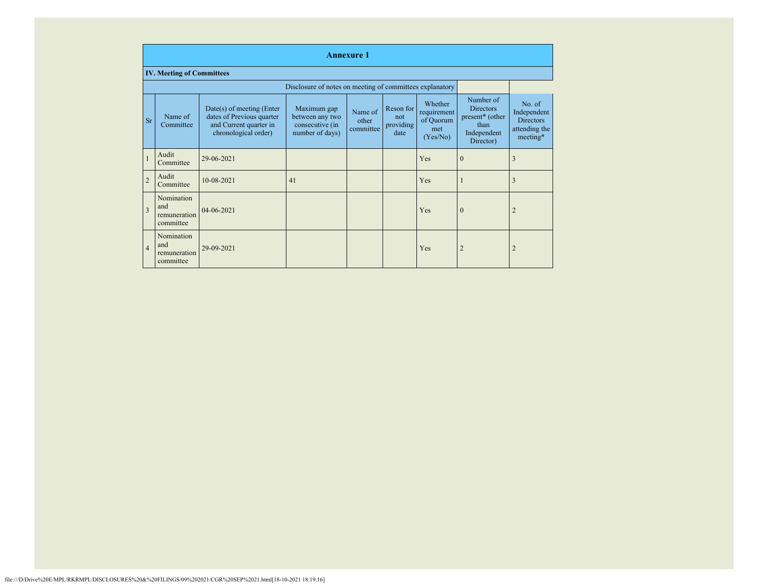|                | <b>Annexure 1</b>                              |                                                                                                            |                                                                      |                               |                                       |                                                        |                                                                                                  |                                                                        |
|----------------|------------------------------------------------|------------------------------------------------------------------------------------------------------------|----------------------------------------------------------------------|-------------------------------|---------------------------------------|--------------------------------------------------------|--------------------------------------------------------------------------------------------------|------------------------------------------------------------------------|
|                | <b>IV. Meeting of Committees</b>               |                                                                                                            |                                                                      |                               |                                       |                                                        |                                                                                                  |                                                                        |
|                |                                                |                                                                                                            | Disclosure of notes on meeting of committees explanatory             |                               |                                       |                                                        |                                                                                                  |                                                                        |
| <b>Sr</b>      | Name of<br>Committee                           | $Date(s)$ of meeting (Enter<br>dates of Previous quarter<br>and Current quarter in<br>chronological order) | Maximum gap<br>between any two<br>consecutive (in<br>number of days) | Name of<br>other<br>committee | Reson for<br>not<br>providing<br>date | Whether<br>requirement<br>of Quorum<br>met<br>(Yes/No) | Number of<br><b>Directors</b><br>present <sup>*</sup> (other<br>than<br>Independent<br>Director) | No. of<br>Independent<br><b>Directors</b><br>attending the<br>meeting* |
| $\mathbf{1}$   | Audit<br>Committee                             | 29-06-2021                                                                                                 |                                                                      |                               |                                       | Yes                                                    | $\mathbf{0}$                                                                                     | 3                                                                      |
| $\overline{2}$ | Audit<br>Committee                             | 10-08-2021                                                                                                 | 41                                                                   |                               |                                       | Yes                                                    | 1                                                                                                | 3                                                                      |
| 3              | Nomination<br>and<br>remuneration<br>committee | 04-06-2021                                                                                                 |                                                                      |                               |                                       | Yes                                                    | $\mathbf{0}$                                                                                     | $\overline{2}$                                                         |
| $\overline{4}$ | Nomination<br>and<br>remuneration<br>committee | 29-09-2021                                                                                                 |                                                                      |                               |                                       | Yes                                                    | $\overline{2}$                                                                                   | $\overline{2}$                                                         |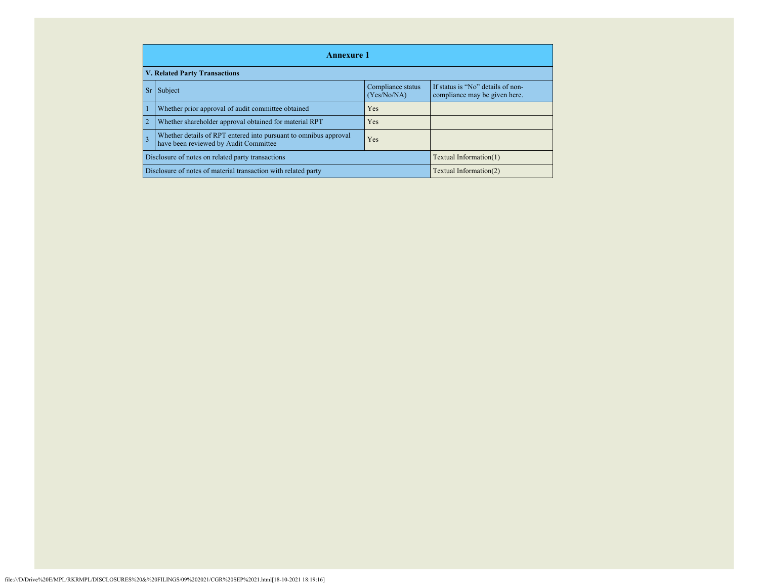|                                                                                                                       | <b>Annexure 1</b>                                                                        |                                                        |                                  |                                                                    |  |  |
|-----------------------------------------------------------------------------------------------------------------------|------------------------------------------------------------------------------------------|--------------------------------------------------------|----------------------------------|--------------------------------------------------------------------|--|--|
|                                                                                                                       |                                                                                          | <b>V. Related Party Transactions</b>                   |                                  |                                                                    |  |  |
|                                                                                                                       | <b>Sr</b>                                                                                | Subject                                                | Compliance status<br>(Yes/No/NA) | If status is "No" details of non-<br>compliance may be given here. |  |  |
|                                                                                                                       |                                                                                          | Whether prior approval of audit committee obtained     | <b>Yes</b>                       |                                                                    |  |  |
|                                                                                                                       |                                                                                          | Whether shareholder approval obtained for material RPT | <b>Yes</b>                       |                                                                    |  |  |
| Whether details of RPT entered into pursuant to omnibus approval<br>3<br>Yes<br>have been reviewed by Audit Committee |                                                                                          |                                                        |                                  |                                                                    |  |  |
|                                                                                                                       | Disclosure of notes on related party transactions<br>Textual Information(1)              |                                                        |                                  |                                                                    |  |  |
|                                                                                                                       | Disclosure of notes of material transaction with related party<br>Textual Information(2) |                                                        |                                  |                                                                    |  |  |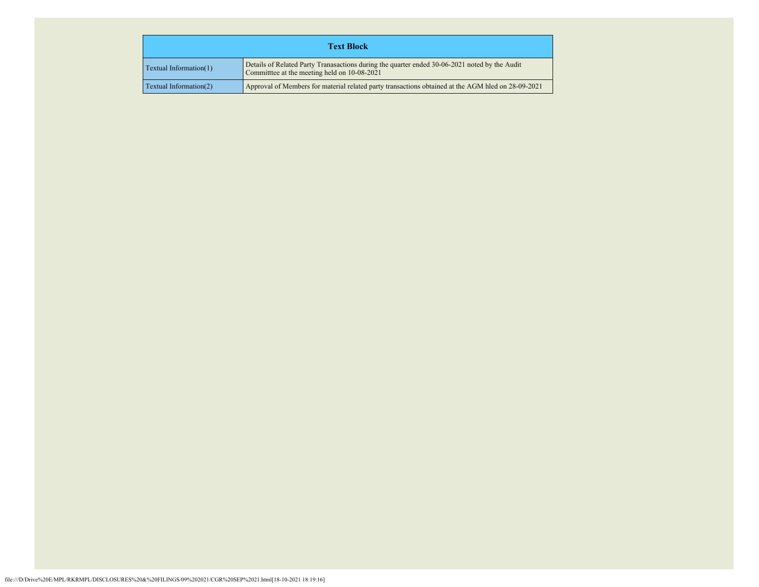| <b>Text Block</b>                                                                                                                                                               |  |  |
|---------------------------------------------------------------------------------------------------------------------------------------------------------------------------------|--|--|
| Details of Related Party Tranasactions during the quarter ended 30-06-2021 noted by the Audit<br>$\Gamma$ Textual Information(1)<br>Committee at the meeting held on 10-08-2021 |  |  |
| Approval of Members for material related party transactions obtained at the AGM hled on 28-09-2021<br><b>Textual Information(2)</b>                                             |  |  |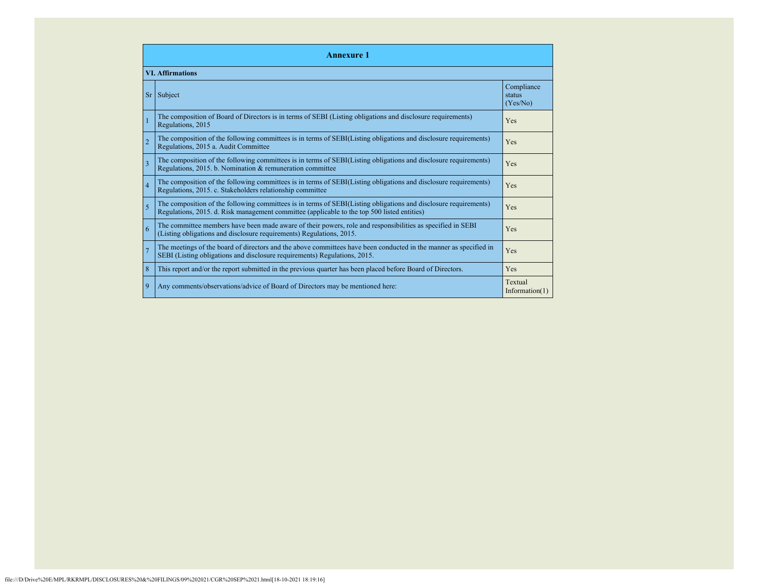| <b>Annexure 1</b>       |                                                                                                                                                                                                                 |                                  |  |  |  |
|-------------------------|-----------------------------------------------------------------------------------------------------------------------------------------------------------------------------------------------------------------|----------------------------------|--|--|--|
| <b>VI.</b> Affirmations |                                                                                                                                                                                                                 |                                  |  |  |  |
| <b>Sr</b>               | Subject                                                                                                                                                                                                         | Compliance<br>status<br>(Yes/No) |  |  |  |
| $\overline{1}$          | The composition of Board of Directors is in terms of SEBI (Listing obligations and disclosure requirements)<br>Regulations, 2015                                                                                | Yes                              |  |  |  |
| $\overline{2}$          | The composition of the following committees is in terms of SEBI(Listing obligations and disclosure requirements)<br>Regulations, 2015 a. Audit Committee                                                        | Yes                              |  |  |  |
| $\overline{3}$          | The composition of the following committees is in terms of SEBI(Listing obligations and disclosure requirements)<br>Regulations, 2015. b. Nomination & remuneration committee                                   | Yes                              |  |  |  |
| $\overline{4}$          | The composition of the following committees is in terms of SEBI(Listing obligations and disclosure requirements)<br>Regulations, 2015. c. Stakeholders relationship committee                                   | Yes                              |  |  |  |
| $\overline{5}$          | The composition of the following committees is in terms of SEBI(Listing obligations and disclosure requirements)<br>Regulations, 2015. d. Risk management committee (applicable to the top 500 listed entities) | Yes                              |  |  |  |
| 6                       | The committee members have been made aware of their powers, role and responsibilities as specified in SEBI<br>(Listing obligations and disclosure requirements) Regulations, 2015.                              | Yes                              |  |  |  |
| $\overline{7}$          | The meetings of the board of directors and the above committees have been conducted in the manner as specified in<br>SEBI (Listing obligations and disclosure requirements) Regulations, 2015.                  | Yes                              |  |  |  |
| 8                       | This report and/or the report submitted in the previous quarter has been placed before Board of Directors.                                                                                                      | Yes                              |  |  |  |
| $\overline{9}$          | Any comments/observations/advice of Board of Directors may be mentioned here:                                                                                                                                   | Textual<br>Information $(1)$     |  |  |  |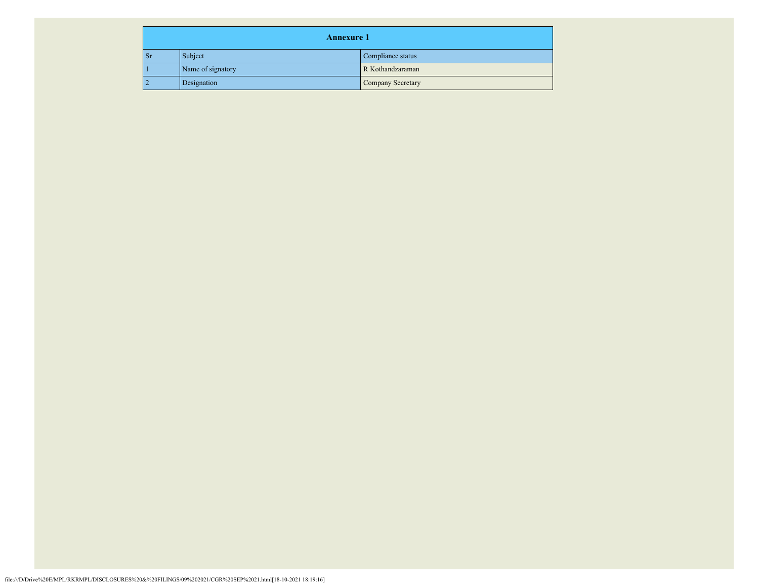| <b>Annexure 1</b> |                   |                   |  |  |
|-------------------|-------------------|-------------------|--|--|
| $\mathsf{S}$ r    | Subject           | Compliance status |  |  |
|                   | Name of signatory | R Kothandzaraman  |  |  |
| $\overline{2}$    | Designation       | Company Secretary |  |  |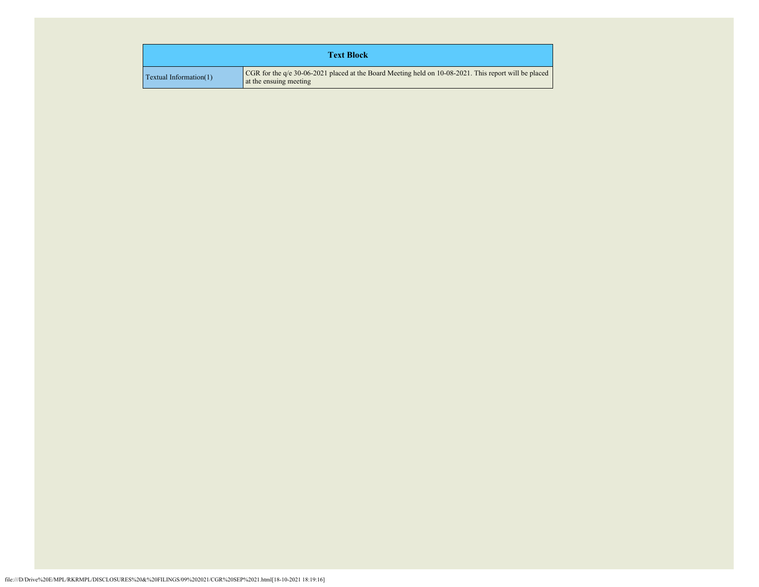| <b>Text Block</b>               |                                                                                                                                   |  |  |
|---------------------------------|-----------------------------------------------------------------------------------------------------------------------------------|--|--|
| $\Gamma$ Textual Information(1) | CGR for the $q/e$ 30-06-2021 placed at the Board Meeting held on 10-08-2021. This report will be placed<br>at the ensuing meeting |  |  |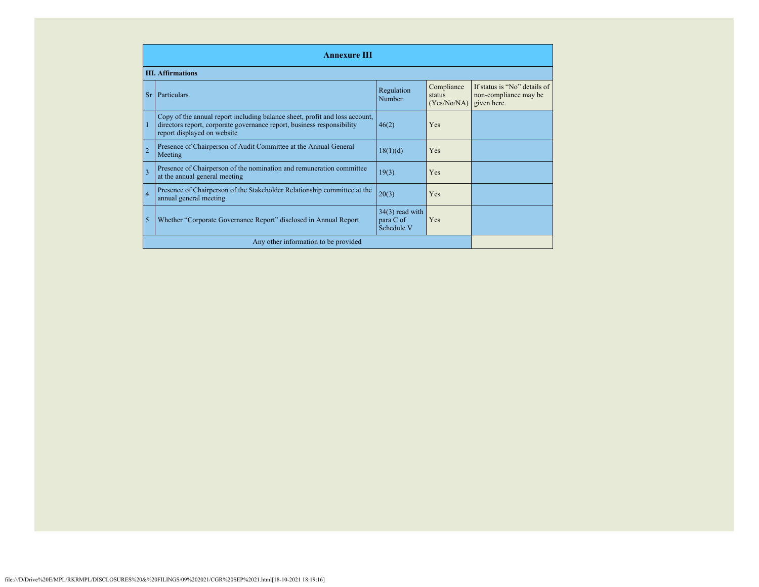| <b>Annexure III</b>                  |                                                                                                                                                                                      |                                              |                                     |                                                                      |
|--------------------------------------|--------------------------------------------------------------------------------------------------------------------------------------------------------------------------------------|----------------------------------------------|-------------------------------------|----------------------------------------------------------------------|
|                                      | <b>III.</b> Affirmations                                                                                                                                                             |                                              |                                     |                                                                      |
| Sr                                   | Particulars                                                                                                                                                                          | Regulation<br>Number                         | Compliance<br>status<br>(Yes/No/NA) | If status is "No" details of<br>non-compliance may be<br>given here. |
| 1                                    | Copy of the annual report including balance sheet, profit and loss account,<br>directors report, corporate governance report, business responsibility<br>report displayed on website | 46(2)                                        | Yes                                 |                                                                      |
| $\overline{2}$                       | Presence of Chairperson of Audit Committee at the Annual General<br>Meeting                                                                                                          | 18(1)(d)                                     | Yes                                 |                                                                      |
| $\overline{3}$                       | Presence of Chairperson of the nomination and remuneration committee<br>at the annual general meeting                                                                                | 19(3)                                        | Yes                                 |                                                                      |
| $\overline{4}$                       | Presence of Chairperson of the Stakeholder Relationship committee at the<br>annual general meeting                                                                                   | 20(3)                                        | Yes                                 |                                                                      |
| 5                                    | Whether "Corporate Governance Report" disclosed in Annual Report                                                                                                                     | $34(3)$ read with<br>para C of<br>Schedule V | Yes                                 |                                                                      |
| Any other information to be provided |                                                                                                                                                                                      |                                              |                                     |                                                                      |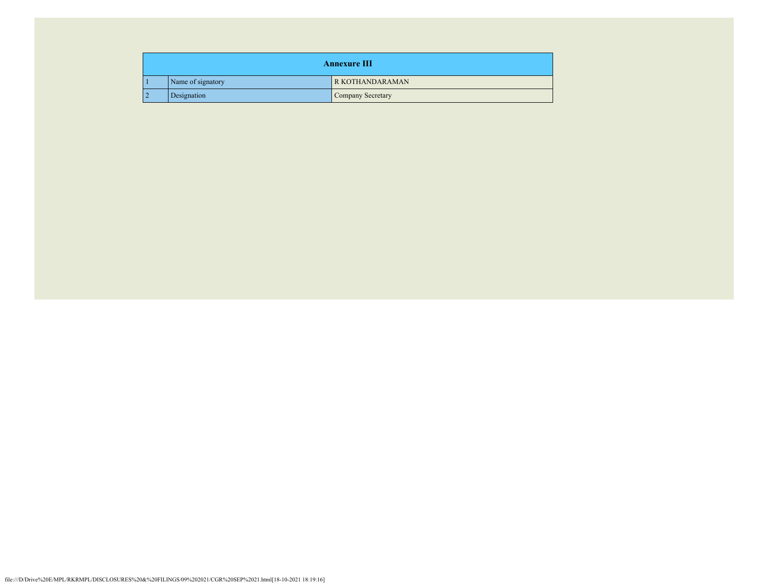|                    | <b>Annexure III</b> |                        |  |  |  |
|--------------------|---------------------|------------------------|--|--|--|
|                    | Name of signatory   | <b>R KOTHANDARAMAN</b> |  |  |  |
| ר ו<br>Designation |                     | Company Secretary      |  |  |  |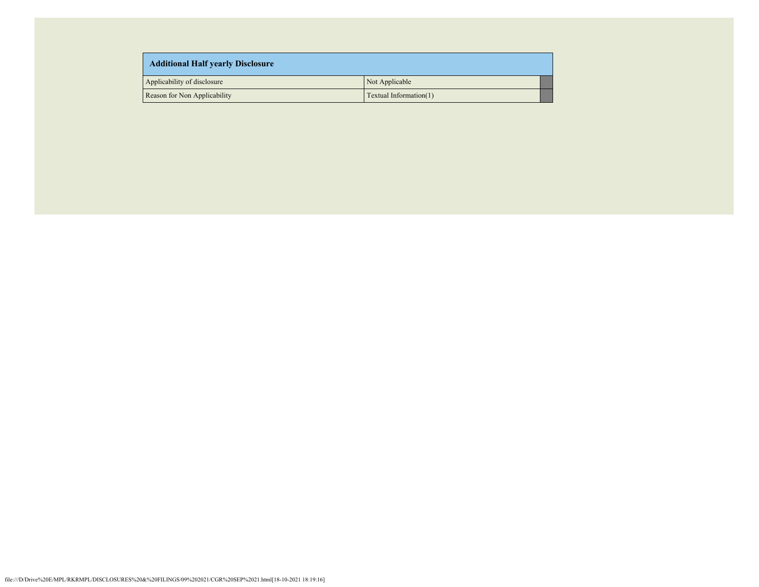| <b>Additional Half yearly Disclosure</b> |                        |  |  |
|------------------------------------------|------------------------|--|--|
| Applicability of disclosure              | Not Applicable         |  |  |
| Reason for Non Applicability             | Textual Information(1) |  |  |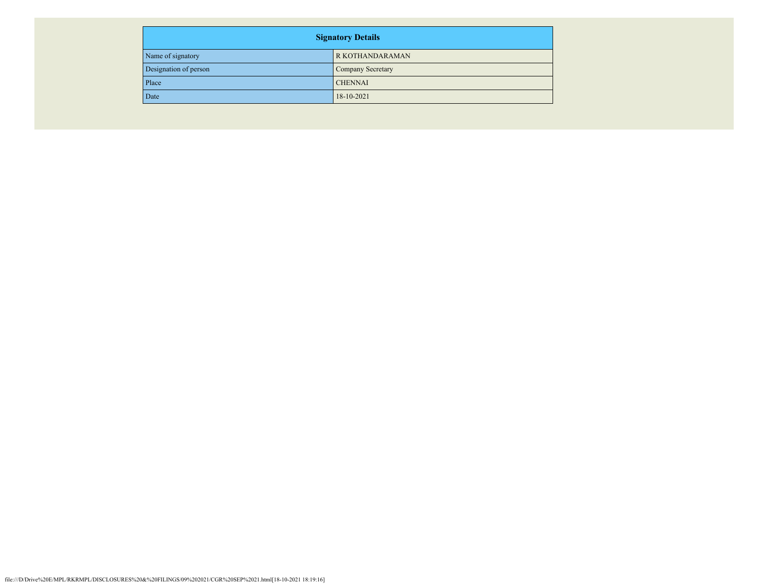| <b>Signatory Details</b> |                   |  |
|--------------------------|-------------------|--|
| Name of signatory        | R KOTHANDARAMAN   |  |
| Designation of person    | Company Secretary |  |
| Place                    | <b>CHENNAI</b>    |  |
| Date                     | 18-10-2021        |  |